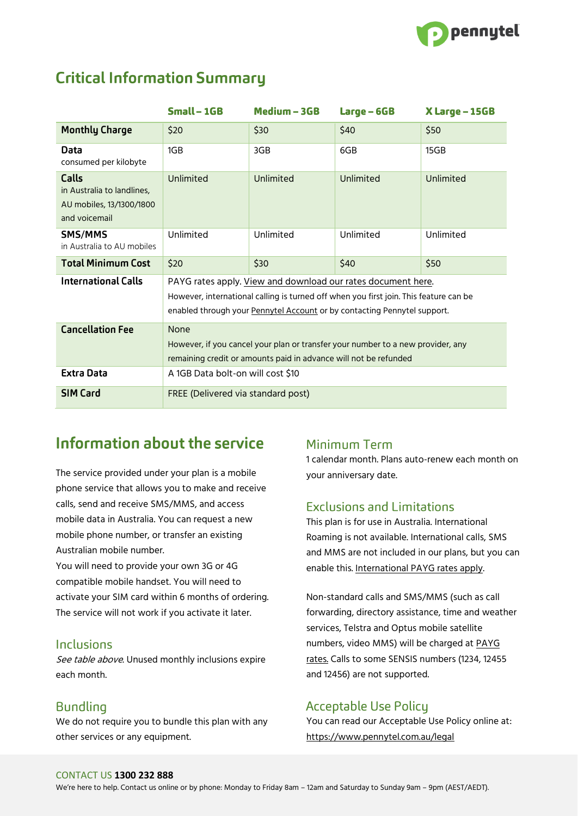

## **Critical Information Summary**

|                                                                                         | $Small - 1GB$                                                                                                                                                                                                                     | Medium - 3GB | Large – 6GB | X Large – 15GB |
|-----------------------------------------------------------------------------------------|-----------------------------------------------------------------------------------------------------------------------------------------------------------------------------------------------------------------------------------|--------------|-------------|----------------|
| <b>Monthly Charge</b>                                                                   | \$20                                                                                                                                                                                                                              | \$30         | \$40        | \$50           |
| Data<br>consumed per kilobyte                                                           | 1GB                                                                                                                                                                                                                               | 3GB          | 6GB         | 15GB           |
| <b>Calls</b><br>in Australia to landlines,<br>AU mobiles, 13/1300/1800<br>and voicemail | Unlimited                                                                                                                                                                                                                         | Unlimited    | Unlimited   | Unlimited      |
| SMS/MMS<br>in Australia to AU mobiles                                                   | Unlimited                                                                                                                                                                                                                         | Unlimited    | Unlimited   | Unlimited      |
| <b>Total Minimum Cost</b>                                                               | \$20                                                                                                                                                                                                                              | \$30         | \$40        | \$50           |
| <b>International Calls</b>                                                              | PAYG rates apply. View and download our rates document here.<br>However, international calling is turned off when you first join. This feature can be<br>enabled through your Pennytel Account or by contacting Pennytel support. |              |             |                |
| <b>Cancellation Fee</b>                                                                 | None<br>However, if you cancel your plan or transfer your number to a new provider, any<br>remaining credit or amounts paid in advance will not be refunded                                                                       |              |             |                |
| <b>Extra Data</b>                                                                       | A 1GB Data bolt-on will cost \$10                                                                                                                                                                                                 |              |             |                |
| <b>SIM Card</b>                                                                         | FREE (Delivered via standard post)                                                                                                                                                                                                |              |             |                |

# Information about the service

The service provided under your plan is a mobile phone service that allows you to make and receive calls, send and receive SMS/MMS, and access mobile data in Australia. You can request a new mobile phone number, or transfer an existing Australian mobile number.

You will need to provide your own 3G or 4G compatible mobile handset. You will need to activate your SIM card within 6 months of ordering. The service will not work if you activate it later.

#### Inclusions

See table above. Unused monthly inclusions expire each month.

### **Bundling**

We do not require you to bundle this plan with any other services or any equipment.

### Minimum Term

1 calendar month. Plans auto-renew each month on your anniversary date.

### **Exclusions and Limitations**

This plan is for use in Australia. International Roaming is not available. International calls, SMS and MMS are not included in our plans, but you can enable this. [International PAYG rates apply.](https://pennytel.com.au/legal)

Non-standard calls and SMS/MMS (such as call forwarding, directory assistance, time and weather services, Telstra and Optus mobile satellite numbers, video MMS) will be charged at [PAYG](https://pennytel.com.au/legal)  [rates.](https://pennytel.com.au/legal) Calls to some SENSIS numbers (1234, 12455 and 12456) are not supported.

### **Acceptable Use Policu**

You can read our Acceptable Use Policy online at: <https://www.pennytel.com.au/legal>

#### CONTACT US **1300 232 888**

We're here to help. Contact us online or by phone: Monday to Friday 8am – 12am and Saturday to Sunday 9am – 9pm (AEST/AEDT).